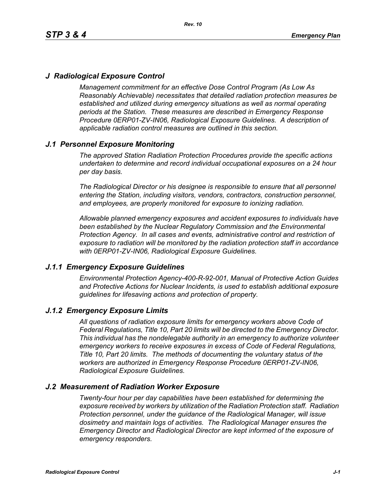# *J Radiological Exposure Control*

*Management commitment for an effective Dose Control Program (As Low As Reasonably Achievable) necessitates that detailed radiation protection measures be established and utilized during emergency situations as well as normal operating periods at the Station. These measures are described in Emergency Response Procedure 0ERP01-ZV-IN06, Radiological Exposure Guidelines. A description of applicable radiation control measures are outlined in this section.*

# *J.1 Personnel Exposure Monitoring*

*The approved Station Radiation Protection Procedures provide the specific actions undertaken to determine and record individual occupational exposures on a 24 hour per day basis.*

*The Radiological Director or his designee is responsible to ensure that all personnel entering the Station, including visitors, vendors, contractors, construction personnel, and employees, are properly monitored for exposure to ionizing radiation.*

*Allowable planned emergency exposures and accident exposures to individuals have been established by the Nuclear Regulatory Commission and the Environmental Protection Agency. In all cases and events, administrative control and restriction of exposure to radiation will be monitored by the radiation protection staff in accordance with 0ERP01-ZV-IN06, Radiological Exposure Guidelines.*

### *J.1.1 Emergency Exposure Guidelines*

*Environmental Protection Agency-400-R-92-001, Manual of Protective Action Guides and Protective Actions for Nuclear Incidents, is used to establish additional exposure guidelines for lifesaving actions and protection of property.*

### *J.1.2 Emergency Exposure Limits*

*All questions of radiation exposure limits for emergency workers above Code of Federal Regulations, Title 10, Part 20 limits will be directed to the Emergency Director. This individual has the nondelegable authority in an emergency to authorize volunteer emergency workers to receive exposures in excess of Code of Federal Regulations, Title 10, Part 20 limits. The methods of documenting the voluntary status of the workers are authorized in Emergency Response Procedure 0ERP01-ZV-IN06, Radiological Exposure Guidelines.*

### *J.2 Measurement of Radiation Worker Exposure*

*Twenty-four hour per day capabilities have been established for determining the exposure received by workers by utilization of the Radiation Protection staff. Radiation Protection personnel, under the guidance of the Radiological Manager, will issue dosimetry and maintain logs of activities. The Radiological Manager ensures the Emergency Director and Radiological Director are kept informed of the exposure of emergency responders.*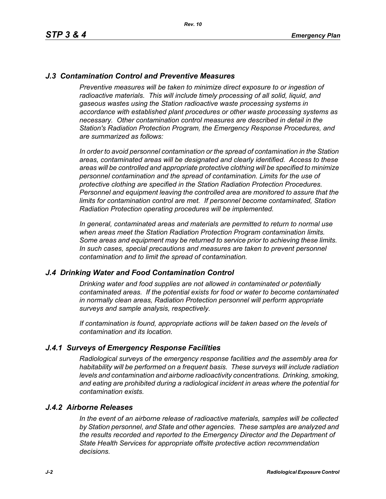## *J.3 Contamination Control and Preventive Measures*

*Preventive measures will be taken to minimize direct exposure to or ingestion of* radioactive materials. This will include timely processing of all solid, liquid, and *gaseous wastes using the Station radioactive waste processing systems in accordance with established plant procedures or other waste processing systems as necessary. Other contamination control measures are described in detail in the Station's Radiation Protection Program, the Emergency Response Procedures, and are summarized as follows:*

*In order to avoid personnel contamination or the spread of contamination in the Station areas, contaminated areas will be designated and clearly identified. Access to these areas will be controlled and appropriate protective clothing will be specified to minimize personnel contamination and the spread of contamination. Limits for the use of protective clothing are specified in the Station Radiation Protection Procedures. Personnel and equipment leaving the controlled area are monitored to assure that the limits for contamination control are met. If personnel become contaminated, Station Radiation Protection operating procedures will be implemented.* 

*In general, contaminated areas and materials are permitted to return to normal use when areas meet the Station Radiation Protection Program contamination limits. Some areas and equipment may be returned to service prior to achieving these limits. In such cases, special precautions and measures are taken to prevent personnel contamination and to limit the spread of contamination.*

### *J.4 Drinking Water and Food Contamination Control*

*Drinking water and food supplies are not allowed in contaminated or potentially contaminated areas. If the potential exists for food or water to become contaminated in normally clean areas, Radiation Protection personnel will perform appropriate surveys and sample analysis, respectively.*

*If contamination is found, appropriate actions will be taken based on the levels of contamination and its location.*

### *J.4.1 Surveys of Emergency Response Facilities*

*Radiological surveys of the emergency response facilities and the assembly area for habitability will be performed on a frequent basis. These surveys will include radiation levels and contamination and airborne radioactivity concentrations. Drinking, smoking, and eating are prohibited during a radiological incident in areas where the potential for contamination exists.*

#### *J.4.2 Airborne Releases*

*In the event of an airborne release of radioactive materials, samples will be collected by Station personnel, and State and other agencies. These samples are analyzed and the results recorded and reported to the Emergency Director and the Department of State Health Services for appropriate offsite protective action recommendation decisions.*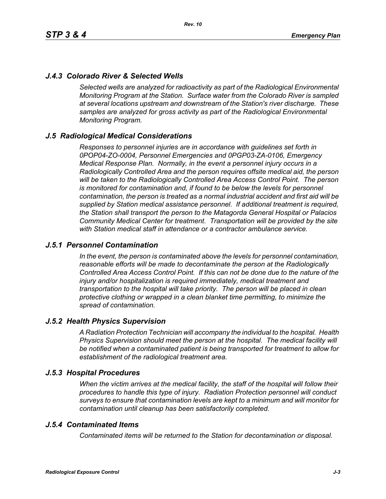# *J.4.3 Colorado River & Selected Wells*

*Selected wells are analyzed for radioactivity as part of the Radiological Environmental Monitoring Program at the Station. Surface water from the Colorado River is sampled at several locations upstream and downstream of the Station's river discharge. These samples are analyzed for gross activity as part of the Radiological Environmental Monitoring Program.*

### *J.5 Radiological Medical Considerations*

*Responses to personnel injuries are in accordance with guidelines set forth in 0POP04-ZO-0004, Personnel Emergencies and 0PGP03-ZA-0106, Emergency Medical Response Plan. Normally, in the event a personnel injury occurs in a Radiologically Controlled Area and the person requires offsite medical aid, the person will be taken to the Radiologically Controlled Area Access Control Point. The person is monitored for contamination and, if found to be below the levels for personnel contamination, the person is treated as a normal industrial accident and first aid will be supplied by Station medical assistance personnel. If additional treatment is required, the Station shall transport the person to the Matagorda General Hospital or Palacios Community Medical Center for treatment. Transportation will be provided by the site with Station medical staff in attendance or a contractor ambulance service.*

### *J.5.1 Personnel Contamination*

*In the event, the person is contaminated above the levels for personnel contamination, reasonable efforts will be made to decontaminate the person at the Radiologically Controlled Area Access Control Point. If this can not be done due to the nature of the injury and/or hospitalization is required immediately, medical treatment and transportation to the hospital will take priority. The person will be placed in clean protective clothing or wrapped in a clean blanket time permitting, to minimize the spread of contamination.*

### *J.5.2 Health Physics Supervision*

*A Radiation Protection Technician will accompany the individual to the hospital. Health Physics Supervision should meet the person at the hospital. The medical facility will be notified when a contaminated patient is being transported for treatment to allow for establishment of the radiological treatment area.*

### *J.5.3 Hospital Procedures*

*When the victim arrives at the medical facility, the staff of the hospital will follow their procedures to handle this type of injury. Radiation Protection personnel will conduct surveys to ensure that contamination levels are kept to a minimum and will monitor for contamination until cleanup has been satisfactorily completed.*

### *J.5.4 Contaminated Items*

*Contaminated items will be returned to the Station for decontamination or disposal.*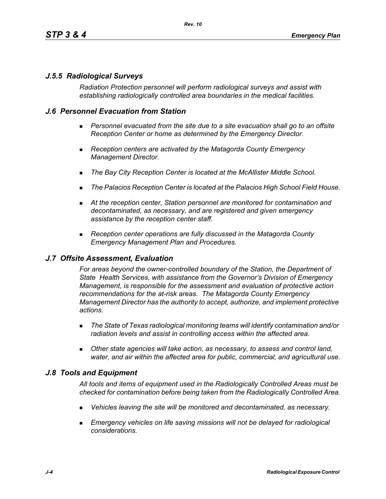# *J.5.5 Radiological Surveys*

*Radiation Protection personnel will perform radiological surveys and assist with establishing radiologically controlled area boundaries in the medical facilities.*

## *J.6 Personnel Evacuation from Station*

- **Personnel evacuated from the site due to a site evacuation shall go to an offsite** *Reception Center or home as determined by the Emergency Director.*
- *Reception centers are activated by the Matagorda County Emergency Management Director.*
- *The Bay City Reception Center is located at the McAllister Middle School.*
- *The Palacios Reception Center is located at the Palacios High School Field House.*
- *At the reception center, Station personnel are monitored for contamination and decontaminated, as necessary, and are registered and given emergency assistance by the reception center staff.*
- *Reception center operations are fully discussed in the Matagorda County Emergency Management Plan and Procedures.*

### *J.7 Offsite Assessment, Evaluation*

*For areas beyond the owner-controlled boundary of the Station, the Department of State Health Services, with assistance from the Governor's Division of Emergency Management, is responsible for the assessment and evaluation of protective action recommendations for the at-risk areas. The Matagorda County Emergency Management Director has the authority to accept, authorize, and implement protective actions.*

- *The State of Texas radiological monitoring teams will identify contamination and/or radiation levels and assist in controlling access within the affected area.*
- *Other state agencies will take action, as necessary, to assess and control land, water, and air within the affected area for public, commercial, and agricultural use.*

# *J.8 Tools and Equipment*

*All tools and items of equipment used in the Radiologically Controlled Areas must be checked for contamination before being taken from the Radiologically Controlled Area.*

- *Vehicles leaving the site will be monitored and decontaminated, as necessary.*
- **Emergency vehicles on life saving missions will not be delayed for radiological** *considerations.*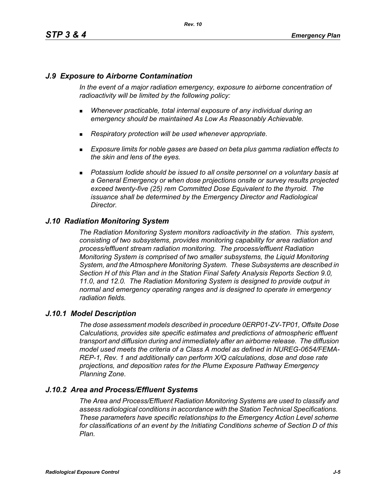# *J.9 Exposure to Airborne Contamination*

*In the event of a major radiation emergency, exposure to airborne concentration of radioactivity will be limited by the following policy:*

- *Whenever practicable, total internal exposure of any individual during an emergency should be maintained As Low As Reasonably Achievable.*
- *Respiratory protection will be used whenever appropriate.*
- *Exposure limits for noble gases are based on beta plus gamma radiation effects to the skin and lens of the eyes.*
- **Potassium Iodide should be issued to all onsite personnel on a voluntary basis at** *a General Emergency or when dose projections onsite or survey results projected exceed twenty-five (25) rem Committed Dose Equivalent to the thyroid. The issuance shall be determined by the Emergency Director and Radiological Director.*

# *J.10 Radiation Monitoring System*

*The Radiation Monitoring System monitors radioactivity in the station. This system, consisting of two subsystems, provides monitoring capability for area radiation and process/effluent stream radiation monitoring. The process/effluent Radiation Monitoring System is comprised of two smaller subsystems, the Liquid Monitoring System, and the Atmosphere Monitoring System. These Subsystems are described in Section H of this Plan and in the Station Final Safety Analysis Reports Section 9.0, 11.0, and 12.0. The Radiation Monitoring System is designed to provide output in normal and emergency operating ranges and is designed to operate in emergency radiation fields.*

### *J.10.1 Model Description*

*The dose assessment models described in procedure 0ERP01-ZV-TP01, Offsite Dose Calculations, provides site specific estimates and predictions of atmospheric effluent transport and diffusion during and immediately after an airborne release. The diffusion model used meets the criteria of a Class A model as defined in NUREG-0654/FEMA-REP-1, Rev. 1 and additionally can perform X/Q calculations, dose and dose rate projections, and deposition rates for the Plume Exposure Pathway Emergency Planning Zone.*

# *J.10.2 Area and Process/Effluent Systems*

*The Area and Process/Effluent Radiation Monitoring Systems are used to classify and assess radiological conditions in accordance with the Station Technical Specifications. These parameters have specific relationships to the Emergency Action Level scheme for classifications of an event by the Initiating Conditions scheme of Section D of this Plan.*